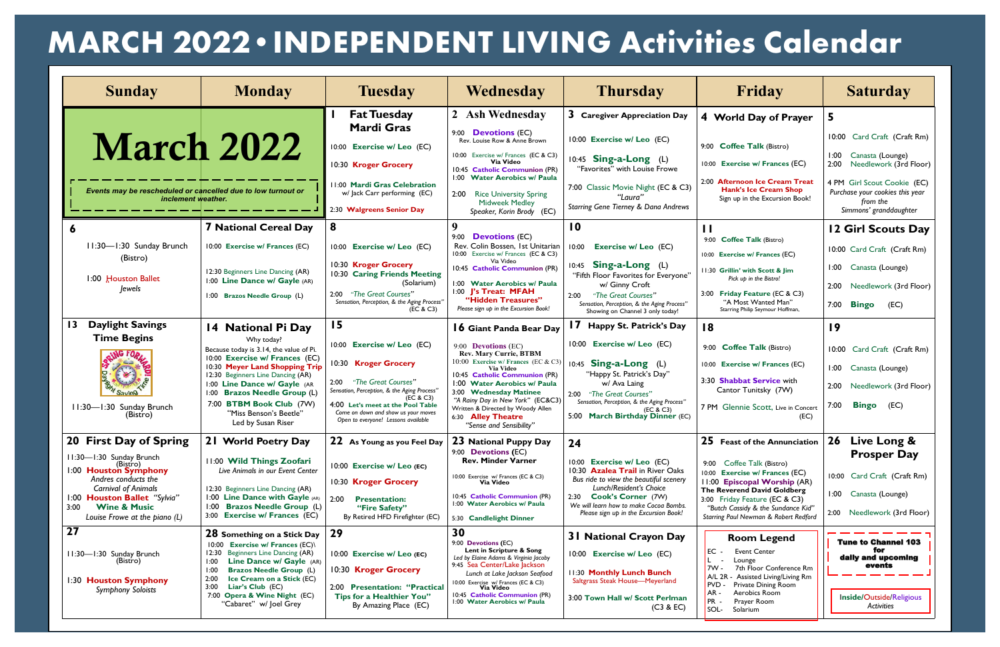| <b>Sunday</b>                                                                        | <b>Monday</b>                                                                                   | <b>Tuesday</b>                                                                                                  | Wednesday                                                                                                               | <b>Thursday</b>                                                                                                    | Friday                                                                                                     | <b>Saturday</b>                                                                                      |
|--------------------------------------------------------------------------------------|-------------------------------------------------------------------------------------------------|-----------------------------------------------------------------------------------------------------------------|-------------------------------------------------------------------------------------------------------------------------|--------------------------------------------------------------------------------------------------------------------|------------------------------------------------------------------------------------------------------------|------------------------------------------------------------------------------------------------------|
|                                                                                      |                                                                                                 | <b>Fat Tuesday</b><br><b>Mardi Gras</b>                                                                         | 2 Ash Wednesday<br>9:00 <b>Devotions</b> (EC)                                                                           | 3 Caregiver Appreciation Day                                                                                       | 4 World Day of Prayer                                                                                      | 5                                                                                                    |
| <b>March 2022</b>                                                                    |                                                                                                 | 10:00 Exercise w/ Leo (EC)                                                                                      | Rev. Louise Row & Anne Brown                                                                                            | 10:00 Exercise w/ Leo (EC)                                                                                         | 9:00 Coffee Talk (Bistro)                                                                                  | 10:00 Card Craft (Craft Rm)                                                                          |
|                                                                                      |                                                                                                 | 10:30 Kroger Grocery                                                                                            | 10:00 Exercise w/ Frances (EC & C3)<br>Via Video<br>10:45 Catholic Communion (PR)                                       | 10:45 Sing-a-Long (L)<br>"Favorites" with Louise Frowe                                                             | 10:00 Exercise w/ Frances (EC)                                                                             | 1:00<br>Canasta (Lounge)<br>Needlework (3rd Floor)<br>2:00                                           |
| Events may be rescheduled or cancelled due to low turnout or<br>inclement weather.   |                                                                                                 | 11:00 Mardi Gras Celebration<br>w/ Jack Carr performing (EC)<br>2:30 Walgreens Senior Day                       | 1:00 Water Aerobics w/ Paula<br>2:00 Rice University Spring<br><b>Midweek Medley</b><br>Speaker, Korin Brody (EC)       | 7:00 Classic Movie Night (EC & C3)<br>"Laura"<br>Starring Gene Tierney & Dana Andrews                              | 2:00 Afternoon Ice Cream Treat<br><b>Hank's Ice Cream Shop</b><br>Sign up in the Excursion Book!           | 4 PM Girl Scout Cookie (EC)<br>Purchase your cookies this year<br>from the<br>Simmons' granddaughter |
| 6                                                                                    | <b>7 National Cereal Day</b>                                                                    | 8                                                                                                               | 9<br>9:00 <b>Devotions</b> (EC)                                                                                         | $\overline{10}$                                                                                                    | $\mathbf{H}$                                                                                               | 12 Girl Scouts Day                                                                                   |
| 11:30-1:30 Sunday Brunch<br>(Bistro)                                                 | 10:00 Exercise w/ Frances (EC)                                                                  | 10:00 Exercise w/ Leo (EC)                                                                                      | Rev. Colin Bossen, 1st Unitarian<br>10:00 Exercise w/ Frances (EC & C3)                                                 | 10:00<br>Exercise w/ Leo (EC)                                                                                      | 9:00 Coffee Talk (Bistro)<br>10:00 Exercise w/ Frances (EC)                                                | 10:00 Card Craft (Craft Rm)                                                                          |
| 1:00 Houston Ballet                                                                  | 12:30 Beginners Line Dancing (AR)<br>1:00 Line Dance w/ Gayle (AR)                              | 10:30 Kroger Grocery<br>10:30 Caring Friends Meeting<br>(Solarium)                                              | Via Video<br>10:45 Catholic Communion (PR)<br>1:00 Water Aerobics w/ Paula                                              | 10:45 Sing-a-Long (L)<br>"Fifth Floor Favorites for Everyone"<br>w/ Ginny Croft                                    | 11:30 Grillin' with Scott & Jim<br>Pick up in the Bistro!                                                  | 1:00 Canasta (Lounge)<br>Needlework (3rd Floor)                                                      |
| <i>lewels</i>                                                                        | 1:00 Brazos Needle Group (L)                                                                    | 2:00 "The Great Courses"<br>Sensation, Perception, & the Aging Process"<br>(EC & C3)                            | 1:00 J's Treat: MFAH<br>"Hidden Treasures"<br>Please sign up in the Excursion Book!                                     | "The Great Courses"<br>2:00<br>Sensation, Perception, & the Aging Process"<br>Showing on Channel 3 only today!     | 3:00 Friday Feature (EC & C3)<br>"A Most Wanted Man"<br>Starring Philip Seymour Hoffman,                   | 2:00<br><b>Bingo</b><br>7:00<br>(EC)                                                                 |
| <b>Daylight Savings</b><br>$\overline{13}$                                           | 14 National Pi Day                                                                              | 15                                                                                                              | <b>16 Giant Panda Bear Day</b>                                                                                          | 17 Happy St. Patrick's Day                                                                                         | 18                                                                                                         | 19                                                                                                   |
| <b>Time Begins</b>                                                                   | Why today?<br>Because today is 3.14, the value of Pi.<br>10:00 Exercise w/ Frances (EC)         | 10:00 Exercise w/ Leo (EC)                                                                                      | 9:00 <b>Devotions</b> (EC)<br><b>Rev. Mary Currie, BTBM</b>                                                             | 10:00 Exercise w/ Leo (EC)                                                                                         | 9:00 Coffee Talk (Bistro)                                                                                  | 10:00 Card Craft (Craft Rm)                                                                          |
| SRING FORMS                                                                          | 10:30 Meyer Land Shopping Trip<br>12:30 Beginners Line Dancing (AR)                             | 0:30 Kroger Grocery                                                                                             | 10:00 Exercise w/ Frances (EC & C3)<br>Via Video<br>10:45 Catholic Communion (PR)                                       | $10:45$ Sing-a-Long (L)<br>"Happy St. Patrick's Day"                                                               | 10:00 Exercise w/ Frances (EC)                                                                             | 1:00 Canasta (Lounge)                                                                                |
|                                                                                      | 1:00 Line Dance w/ Gayle (AR<br>1:00 Brazos Needle Group (L)                                    | 2:00 "The Great Courses"<br>Sensation, Perception, & the Aging Process"<br>(EC & C3)                            | 1:00 Water Aerobics w/ Paula<br>3:00 Wednesday Matinee                                                                  | w/ Ava Laing<br>2:00 "The Great Courses"                                                                           | 3:30 Shabbat Service with<br>Cantor Tunitsky (7W)                                                          | Needlework (3rd Floor)<br>2:00                                                                       |
| 11:30-1:30 Sunday Brunch<br>(Bistro)                                                 | 7:00 BTBM Book Club (7W)<br>"Miss Benson's Beetle"<br>Led by Susan Riser                        | 4:00 Let's meet at the Pool Table<br>Come on down and show us your moves<br>Open to everyone! Lessons available | "A Rainy Day in New York" (EC&C3)<br>Written & Directed by Woody Allen<br>6:30 Alley Theatre<br>"Sense and Sensibility" | Sensation, Perception, & the Aging Process"<br>(EC & C3)<br>5:00 March Birthday Dinner (EC)                        | 7 PM Glennie Scott, Live in Concert<br>(EC)                                                                | <b>Bingo</b><br>7:00<br>(EC)                                                                         |
| 20 First Day of Spring                                                               | 21 World Poetry Day                                                                             | 22 As Young as you Feel Day                                                                                     | 23 National Puppy Day<br>9:00 <b>Devotions (EC)</b>                                                                     | 24                                                                                                                 | 25 Feast of the Annunciation                                                                               | 26 Live Long &                                                                                       |
| 11:30-1:30 Sunday Brunch<br>(Bistro)<br>1:00 Houston Symphony<br>Andres conducts the | 11:00 Wild Things Zoofari<br>Live Animals in our Event Center                                   | 10:00 Exercise w/ Leo (EC)                                                                                      | <b>Rev. Minder Varner</b><br>10:00 Exercise w/ Frances (EC & C3)                                                        | 10:00<br><b>Exercise w/ Leo (EC)</b><br>10:30 Azalea Trail in River Oaks<br>Bus ride to view the beautiful scenery | 9:00 Coffee Talk (Bistro)<br><b>Exercise w/ Frances (EC)</b><br>10:00                                      | <b>Prosper Day</b><br>10:00 Card Craft (Craft Rm)                                                    |
| <b>Carnival of Animals</b><br>1:00 Houston Ballet "Sylvia"                           | 12:30 Beginners Line Dancing (AR)<br>1:00 Line Dance with Gayle (AR)                            | 10:30 Kroger Grocery<br>2:00<br><b>Presentation:</b>                                                            | Via Video<br>10:45 Catholic Communion (PR)                                                                              | Lunch/Resident's Choice<br>2:30 Cook's Corner (7W)                                                                 | 11:00 Episcopal Worship (AR)<br>The Reverend David Goldberg<br>3:00 Friday Feature (EC & C3)               | 1:00 Canasta (Lounge)                                                                                |
| <b>Wine &amp; Music</b><br>3:00<br>Louise Frowe at the piano (L)                     | 1:00 Brazos Needle Group (L)<br>3:00 Exercise w/ Frances (EC)                                   | "Fire Safety"<br>By Retired HFD Firefighter (EC)                                                                | 1:00 Water Aerobics w/ Paula<br>5:30 Candlelight Dinner                                                                 | We will learn how to make Cocoa Bombs.<br>Please sign up in the Excursion Book!                                    | "Butch Cassidy & the Sundance Kid"<br>Starring Paul Newman & Robert Redford                                | 2:00 Needlework (3rd Floor)                                                                          |
| 27                                                                                   | 28 Something on a Stick Day<br>Exercise w/ Frances (EC)\<br>10:00                               | 29                                                                                                              | 30<br>9:00 Devotions (EC)                                                                                               | <b>31 National Crayon Day</b>                                                                                      | <b>Room Legend</b>                                                                                         | <b>Tune to Channel 103</b>                                                                           |
| 11:30-1:30 Sunday Brunch<br>(Bistro)                                                 | Beginners Line Dancing (AR)<br>12:30<br>Line Dance w/ Gayle (AR)<br>1:00                        | 10:00 Exercise w/ Leo (EC)                                                                                      | Lent in Scripture & Song<br>Led by Elaine Adams & Virginia Jacoby<br>9:45 Sea Center/Lake Jackson                       | 10:00 Exercise w/ Leo (EC)                                                                                         | <b>Event Center</b><br>EC -<br>Lounge                                                                      | for<br>daily and upcoming<br>events                                                                  |
| 1:30 Houston Symphony                                                                | <b>Brazos Needle Group (L)</b><br>1:00<br>Ice Cream on a Stick (EC)<br>2:00<br>Liar's Club (EC) | 10:30 Kroger Grocery                                                                                            | Lunch at Lake Jackson Seafood<br>10:00 Exercise w/ Frances (EC & C3)<br><b>Via Video</b>                                | 11:30 Monthly Lunch Bunch<br>Saltgrass Steak House-Meyerland                                                       | 7W -<br>7th Floor Conference Rm<br>A/L 2R - Assisted Living/Living Rm<br>Private Dining Room<br><b>PVD</b> |                                                                                                      |
| <b>Symphony Soloists</b>                                                             | 3:00<br>7:00 Opera & Wine Night (EC)<br>"Cabaret" w/ Joel Grey                                  | 2:00 Presentation: "Practical<br>Tips for a Healthier You"<br>By Amazing Place (EC)                             | 10:45 Catholic Communion (PR)<br>1:00 Water Aerobics w/ Paula                                                           | 3:00 Town Hall w/ Scott Perlman<br>(C3 & EC)                                                                       | Aerobics Room<br>$AR -$<br><b>PR</b><br>Prayer Room<br>SOL-<br>Solarium                                    | Inside/Outside/Religious<br>Activities                                                               |

## **MARCH 2022•INDEPENDENT LIVING Activities Calendar**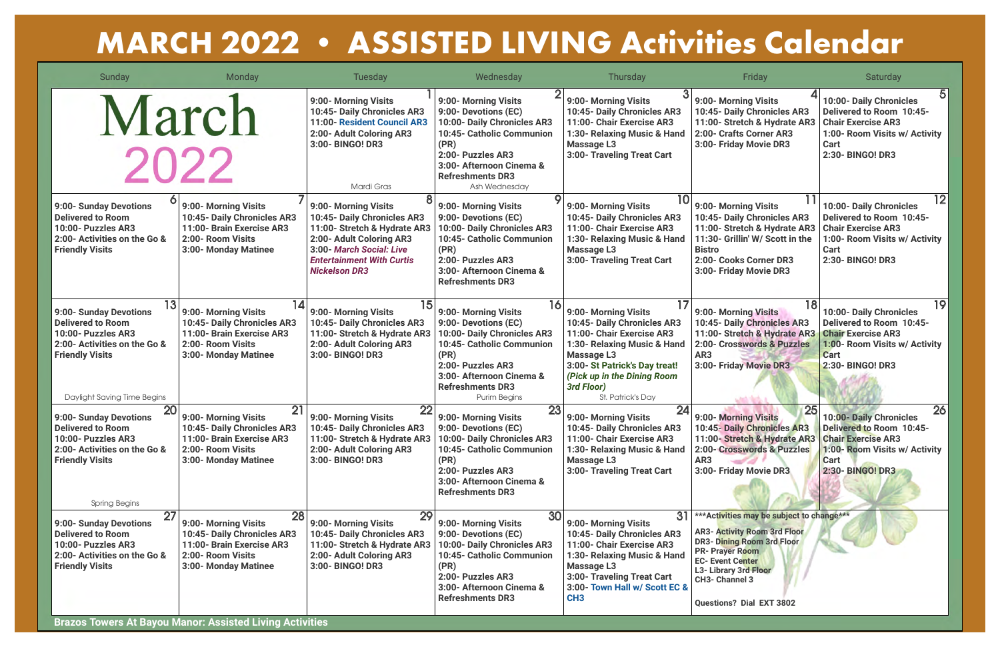| Sunday                                                                                                                                                            | Monday                                                                                                                              | <b>Tuesday</b>                                                                                                                                                                                          | Wednesday                                                                                                                                                                                                          | <b>Thursday</b>                                                                                                                                                                                                                               | Friday                                                                                                                                                                                                                                                   | Saturday                                                                                                                                                                 |
|-------------------------------------------------------------------------------------------------------------------------------------------------------------------|-------------------------------------------------------------------------------------------------------------------------------------|---------------------------------------------------------------------------------------------------------------------------------------------------------------------------------------------------------|--------------------------------------------------------------------------------------------------------------------------------------------------------------------------------------------------------------------|-----------------------------------------------------------------------------------------------------------------------------------------------------------------------------------------------------------------------------------------------|----------------------------------------------------------------------------------------------------------------------------------------------------------------------------------------------------------------------------------------------------------|--------------------------------------------------------------------------------------------------------------------------------------------------------------------------|
| March<br>2022                                                                                                                                                     |                                                                                                                                     | 9:00- Morning Visits<br>10:45- Daily Chronicles AR3<br>11:00- Resident Council AR3<br>2:00- Adult Coloring AR3<br>3:00- BINGO! DR3<br>Mardi Gras                                                        | 9:00- Morning Visits<br>9:00- Devotions (EC)<br>10:00- Daily Chronicles AR3<br>10:45- Catholic Communion<br>(PR)<br>2:00- Puzzles AR3<br>3:00- Afternoon Cinema &<br><b>Refreshments DR3</b><br>Ash Wednesday      | 9:00- Morning Visits<br>10:45- Daily Chronicles AR3<br>11:00- Chair Exercise AR3<br>1:30- Relaxing Music & Hand<br><b>Massage L3</b><br>3:00- Traveling Treat Cart                                                                            | 9:00- Morning Visits<br>10:45- Daily Chronicles AR3<br>11:00- Stretch & Hydrate AR3<br>2:00- Crafts Corner AR3<br>3:00- Friday Movie DR3                                                                                                                 | 5<br>10:00- Daily Chronicles<br><b>Delivered to Room 10:45-</b><br><b>Chair Exercise AR3</b><br>1:00- Room Visits w/ Activity<br><b>Cart</b><br>2:30- BINGO! DR3         |
| 9:00- Sunday Devotions<br><b>Delivered to Room</b><br>10:00- Puzzles AR3<br>2:00- Activities on the Go &<br><b>Friendly Visits</b>                                | 9:00- Morning Visits<br>10:45- Daily Chronicles AR3<br>11:00- Brain Exercise AR3<br>2:00- Room Visits<br>3:00- Monday Matinee       | 9:00- Morning Visits<br>10:45- Daily Chronicles AR3<br>11:00- Stretch & Hydrate AR3<br>2:00- Adult Coloring AR3<br>3:00- March Social: Live<br><b>Entertainment With Curtis</b><br><b>Nickelson DR3</b> | 9:00- Morning Visits<br>9:00- Devotions (EC)<br>10:00- Daily Chronicles AR3<br>10:45- Catholic Communion<br>(PR)<br>2:00- Puzzles AR3<br>3:00- Afternoon Cinema &<br><b>Refreshments DR3</b>                       | 10<br>9:00- Morning Visits<br>10:45- Daily Chronicles AR3<br>11:00- Chair Exercise AR3<br>1:30- Relaxing Music & Hand<br><b>Massage L3</b><br>3:00- Traveling Treat Cart                                                                      | 9:00- Morning Visits<br>10:45- Daily Chronicles AR3<br>11:00- Stretch & Hydrate AR3<br>11:30- Grillin' W/ Scott in the<br><b>Bistro</b><br>2:00- Cooks Corner DR3<br>3:00- Friday Movie DR3                                                              | 12<br>10:00- Daily Chronicles<br><b>Delivered to Room 10:45-</b><br><b>Chair Exercise AR3</b><br>1:00- Room Visits w/ Activity<br>Cart<br>2:30- BINGO! DR3               |
| 9:00- Sunday Devotions<br><b>Delivered to Room</b><br>10:00- Puzzles AR3<br>2:00- Activities on the Go &<br><b>Friendly Visits</b><br>Daylight Saving Time Begins | 14<br>9:00- Morning Visits<br>10:45- Daily Chronicles AR3<br>11:00- Brain Exercise AR3<br>2:00- Room Visits<br>3:00- Monday Matinee | 9:00- Morning Visits<br>10:45- Daily Chronicles AR3<br>11:00- Stretch & Hydrate AR3<br>2:00- Adult Coloring AR3<br>3:00- BINGO! DR3                                                                     | 16<br>9:00- Morning Visits<br>9:00- Devotions (EC)<br>10:00- Daily Chronicles AR3<br>10:45- Catholic Communion<br>(PR)<br>2:00- Puzzles AR3<br>3:00- Afternoon Cinema &<br><b>Refreshments DR3</b><br>Purim Begins | 17<br>9:00- Morning Visits<br>10:45- Daily Chronicles AR3<br>11:00- Chair Exercise AR3<br>1:30- Relaxing Music & Hand<br><b>Massage L3</b><br>3:00- St Patrick's Day treat!<br>(Pick up in the Dining Room<br>3rd Floor)<br>St. Patrick's Day | 9:00- Morning Visits<br>10:45- Daily Chronicles AR3<br>11:00- Stretch & Hydrate AR3<br>2:00- Crosswords & Puzzles<br>AR3<br>3:00- Friday Movie DR3                                                                                                       | 19<br>10:00- Daily Chronicles<br><b>Delivered to Room 10:45-</b><br><b>Chair Exercise AR3</b><br>1:00- Room Visits w/ Activity<br><b>Cart</b><br><b>2:30- BINGO! DR3</b> |
| 20<br>9:00- Sunday Devotions<br><b>Delivered to Room</b><br>10:00- Puzzles AR3<br>2:00- Activities on the Go &<br><b>Friendly Visits</b><br><b>Spring Begins</b>  | 21<br>9:00- Morning Visits<br>10:45- Daily Chronicles AR3<br>11:00- Brain Exercise AR3<br>2:00- Room Visits<br>3:00- Monday Matinee | 9:00- Morning Visits<br>10:45- Daily Chronicles AR3<br>11:00- Stretch & Hydrate AR3<br>2:00- Adult Coloring AR3<br>3:00- BINGO! DR3                                                                     | 23<br>9:00- Morning Visits<br>9:00- Devotions (EC)<br>10:00- Daily Chronicles AR3<br>10:45- Catholic Communion<br>(PR)<br>2:00- Puzzles AR3<br>3:00- Afternoon Cinema &<br><b>Refreshments DR3</b>                 | 24<br>9:00- Morning Visits<br>10:45- Daily Chronicles AR3<br>11:00- Chair Exercise AR3<br>1:30- Relaxing Music & Hand<br><b>Massage L3</b><br>3:00- Traveling Treat Cart                                                                      | 9:00- Morning Visits<br>10:45- Daily Chronicles AR3<br>11:00- Stretch & Hydrate AR3 Chair Exercise AR3<br>2:00- Crosswords & Puzzles<br>AR3<br>3:00- Friday Movie DR3                                                                                    | 26<br>10:00- Daily Chronicles<br><b>Delivered to Room 10:45-</b><br>1:00- Room Visits w/ Activity<br><b>Cart</b><br>2:30- BINGO! DR3                                     |
| 27<br>9:00- Sunday Devotions<br><b>Delivered to Room</b><br>10:00- Puzzles AR3<br>2:00- Activities on the Go &<br><b>Friendly Visits</b>                          | 28<br>9:00- Morning Visits<br>10:45- Daily Chronicles AR3<br>11:00- Brain Exercise AR3<br>2:00- Room Visits<br>3:00- Monday Matinee | 29<br>9:00- Morning Visits<br>10:45- Daily Chronicles AR3<br>11:00- Stretch & Hydrate AR3<br>2:00- Adult Coloring AR3<br>3:00- BINGO! DR3                                                               | 30<br>9:00- Morning Visits<br>9:00- Devotions (EC)<br>10:00- Daily Chronicles AR3<br>10:45- Catholic Communion<br>(PR)<br>2:00- Puzzles AR3<br>3:00- Afternoon Cinema &<br><b>Refreshments DR3</b>                 | 31<br>9:00- Morning Visits<br>10:45- Daily Chronicles AR3<br>11:00- Chair Exercise AR3<br>1:30- Relaxing Music & Hand<br><b>Massage L3</b><br>3:00- Traveling Treat Cart<br>3:00- Town Hall w/ Scott EC &<br>CH <sub>3</sub>                  | ***Activities may be subject to change***<br><b>AR3- Activity Room 3rd Floor</b><br><b>DR3- Dining Room 3rd Floor</b><br><b>PR- Prayer Room</b><br><b>EC- Event Center</b><br><b>L3- Library 3rd Floor</b><br>CH3- Channel 3<br>Questions? Dial EXT 3802 |                                                                                                                                                                          |

## **MARCH 2022 • ASSISTED LIVING Activities Calendar**